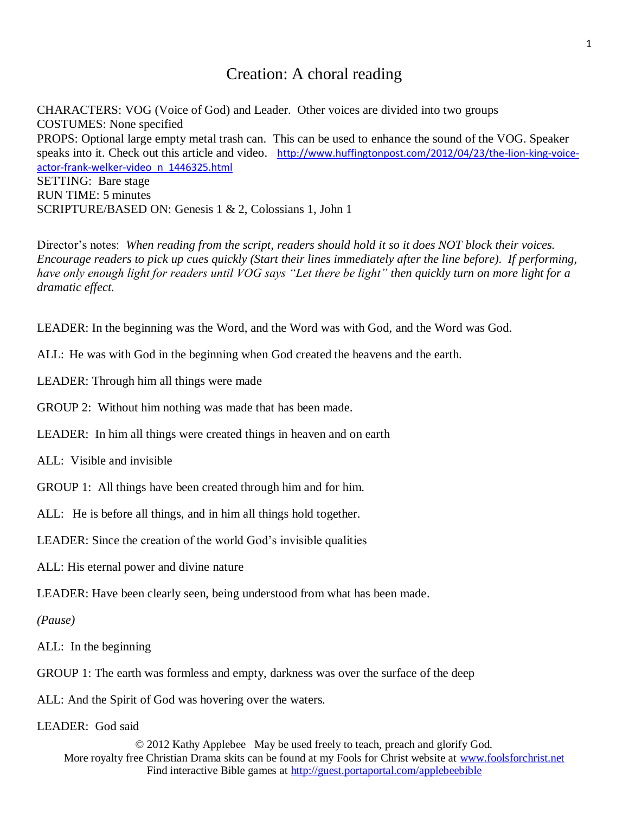## Creation: A choral reading

CHARACTERS: VOG (Voice of God) and Leader. Other voices are divided into two groups COSTUMES: None specified PROPS: Optional large empty metal trash can. This can be used to enhance the sound of the VOG. Speaker speaks into it. Check out this article and video. [http://www.huffingtonpost.com/2012/04/23/the-lion-king-voice](http://www.huffingtonpost.com/2012/04/23/the-lion-king-voice-actor-frank-welker-video_n_1446325.html)[actor-frank-welker-video\\_n\\_1446325.html](http://www.huffingtonpost.com/2012/04/23/the-lion-king-voice-actor-frank-welker-video_n_1446325.html) SETTING: Bare stage RUN TIME: 5 minutes SCRIPTURE/BASED ON: Genesis 1 & 2, Colossians 1, John 1

Director's notes: *When reading from the script, readers should hold it so it does NOT block their voices. Encourage readers to pick up cues quickly (Start their lines immediately after the line before). If performing, have only enough light for readers until VOG says "Let there be light" then quickly turn on more light for a dramatic effect.*

LEADER: In the beginning was the Word, and the Word was with God, and the Word was God.

ALL: He was with God in the beginning when God created the heavens and the earth.

LEADER: Through him all things were made

GROUP 2: Without him nothing was made that has been made.

LEADER: In him all things were created things in heaven and on earth

ALL: Visible and invisible

GROUP 1: All things have been created through him and for him.

ALL: He is before all things, and in him all things hold together.

LEADER: Since the creation of the world God's invisible qualities

ALL: His eternal power and divine nature

LEADER: Have been clearly seen, being understood from what has been made.

*(Pause)*

ALL: In the beginning

GROUP 1: The earth was formless and empty, darkness was over the surface of the deep

ALL: And the Spirit of God was hovering over the waters.

LEADER: God said

© 2012 Kathy Applebee May be used freely to teach, preach and glorify God. More royalty free Christian Drama skits can be found at my Fools for Christ website at [www.foolsforchrist.net](http://www.foolsforchrist.net/) Find interactive Bible games at<http://guest.portaportal.com/applebeebible>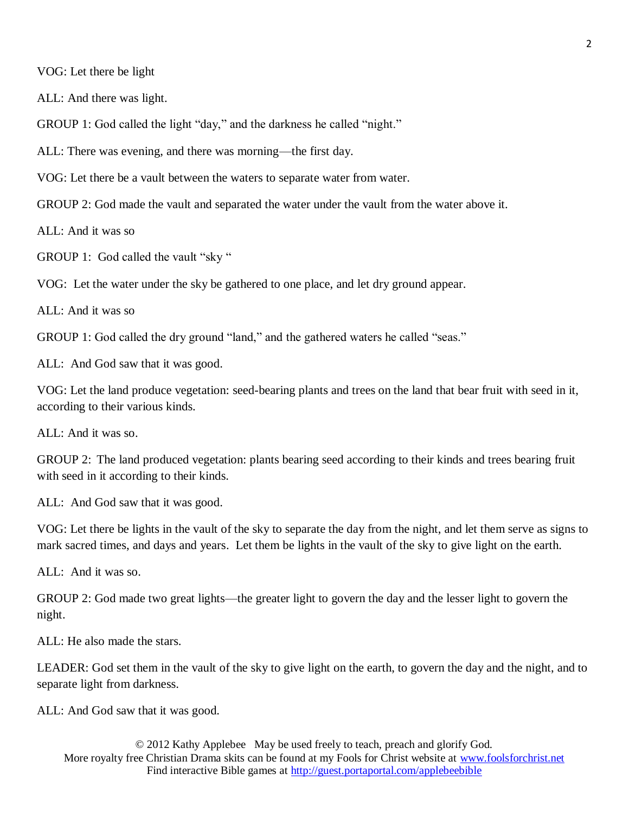VOG: Let there be light

ALL: And there was light.

GROUP 1: God called the light "day," and the darkness he called "night."

ALL: There was evening, and there was morning—the first day.

VOG: Let there be a vault between the waters to separate water from water.

GROUP 2: God made the vault and separated the water under the vault from the water above it.

ALL: And it was so

GROUP 1: God called the vault "sky"

VOG: Let the water under the sky be gathered to one place, and let dry ground appear.

 $ALL:$  And it was so

GROUP 1: God called the dry ground "land," and the gathered waters he called "seas."

ALL: And God saw that it was good.

VOG: Let the land produce vegetation: seed-bearing plants and trees on the land that bear fruit with seed in it, according to their various kinds.

ALL: And it was so.

GROUP 2: The land produced vegetation: plants bearing seed according to their kinds and trees bearing fruit with seed in it according to their kinds.

ALL: And God saw that it was good.

VOG: Let there be lights in the vault of the sky to separate the day from the night, and let them serve as signs to mark sacred times, and days and years. Let them be lights in the vault of the sky to give light on the earth.

ALL: And it was so.

GROUP 2: God made two great lights—the greater light to govern the day and the lesser light to govern the night.

ALL: He also made the stars.

LEADER: God set them in the vault of the sky to give light on the earth, to govern the day and the night, and to separate light from darkness.

ALL: And God saw that it was good.

© 2012 Kathy Applebee May be used freely to teach, preach and glorify God. More royalty free Christian Drama skits can be found at my Fools for Christ website at [www.foolsforchrist.net](http://www.foolsforchrist.net/) Find interactive Bible games at<http://guest.portaportal.com/applebeebible>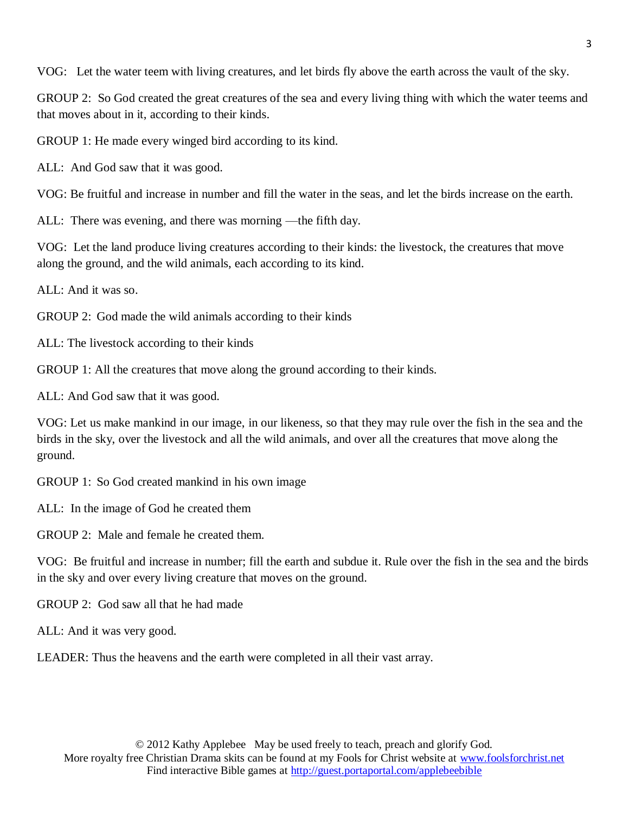VOG: Let the water teem with living creatures, and let birds fly above the earth across the vault of the sky.

GROUP 2: So God created the great creatures of the sea and every living thing with which the water teems and that moves about in it, according to their kinds.

GROUP 1: He made every winged bird according to its kind.

ALL: And God saw that it was good.

VOG: Be fruitful and increase in number and fill the water in the seas, and let the birds increase on the earth.

ALL: There was evening, and there was morning —the fifth day.

VOG: Let the land produce living creatures according to their kinds: the livestock, the creatures that move along the ground, and the wild animals, each according to its kind.

ALL: And it was so.

GROUP 2: God made the wild animals according to their kinds

ALL: The livestock according to their kinds

GROUP 1: All the creatures that move along the ground according to their kinds.

ALL: And God saw that it was good.

VOG: Let us make mankind in our image, in our likeness, so that they may rule over the fish in the sea and the birds in the sky, over the livestock and all the wild animals, and over all the creatures that move along the ground.

GROUP 1: So God created mankind in his own image

ALL: In the image of God he created them

GROUP 2: Male and female he created them.

VOG: Be fruitful and increase in number; fill the earth and subdue it. Rule over the fish in the sea and the birds in the sky and over every living creature that moves on the ground.

GROUP 2: God saw all that he had made

ALL: And it was very good.

LEADER: Thus the heavens and the earth were completed in all their vast array.